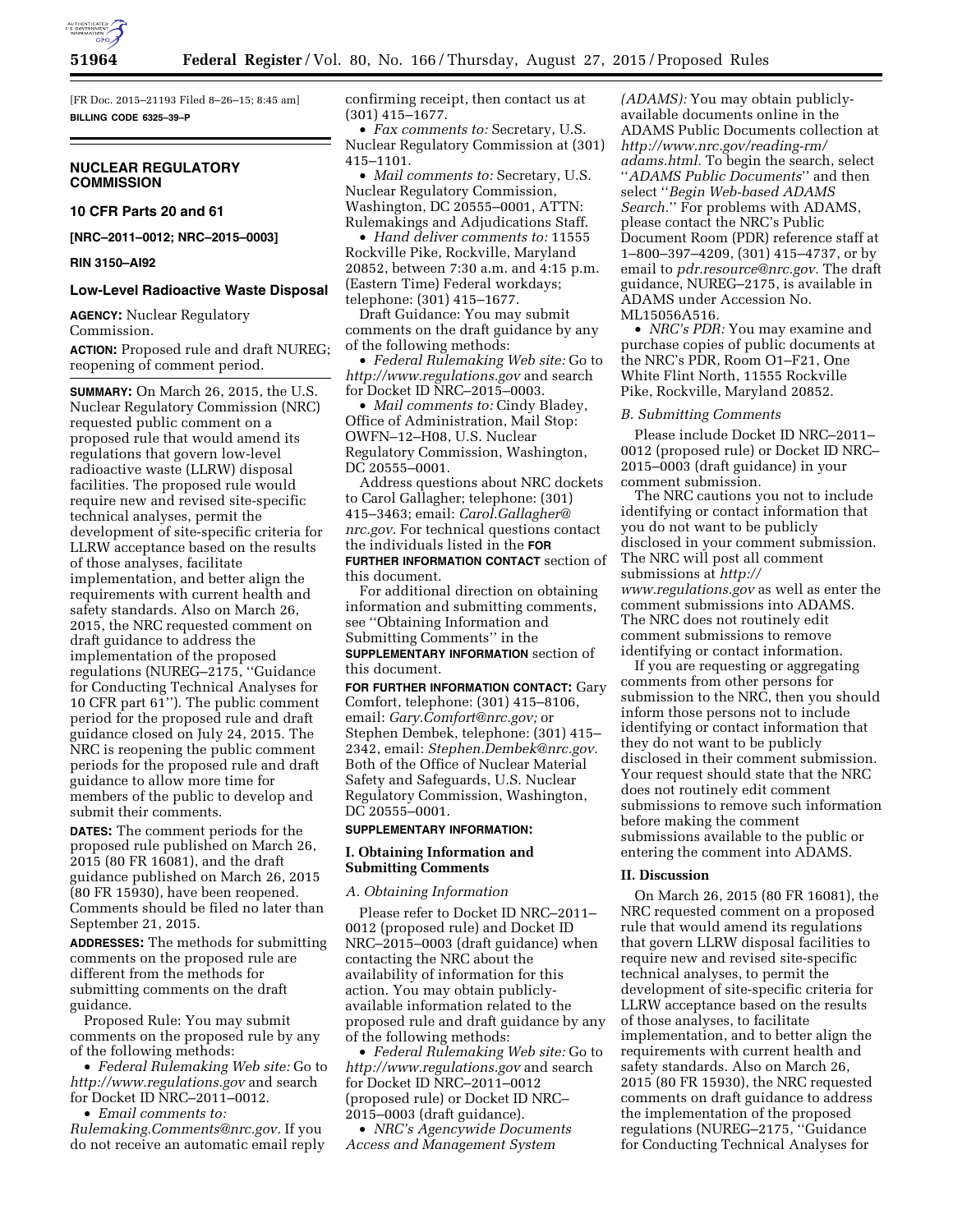

[FR Doc. 2015–21193 Filed 8–26–15; 8:45 am] **BILLING CODE 6325–39–P** 

# **NUCLEAR REGULATORY COMMISSION**

# **10 CFR Parts 20 and 61**

**[NRC–2011–0012; NRC–2015–0003]** 

### **RIN 3150–AI92**

### **Low-Level Radioactive Waste Disposal**

**AGENCY:** Nuclear Regulatory Commission.

**ACTION:** Proposed rule and draft NUREG; reopening of comment period.

**SUMMARY:** On March 26, 2015, the U.S. Nuclear Regulatory Commission (NRC) requested public comment on a proposed rule that would amend its regulations that govern low-level radioactive waste (LLRW) disposal facilities. The proposed rule would require new and revised site-specific technical analyses, permit the development of site-specific criteria for LLRW acceptance based on the results of those analyses, facilitate implementation, and better align the requirements with current health and safety standards. Also on March 26, 2015, the NRC requested comment on draft guidance to address the implementation of the proposed regulations (NUREG–2175, ''Guidance for Conducting Technical Analyses for 10 CFR part  $61$ "). The public comment period for the proposed rule and draft guidance closed on July 24, 2015. The NRC is reopening the public comment periods for the proposed rule and draft guidance to allow more time for members of the public to develop and submit their comments.

**DATES:** The comment periods for the proposed rule published on March 26, 2015 (80 FR 16081), and the draft guidance published on March 26, 2015 (80 FR 15930), have been reopened. Comments should be filed no later than September 21, 2015.

**ADDRESSES:** The methods for submitting comments on the proposed rule are different from the methods for submitting comments on the draft guidance.

Proposed Rule: You may submit comments on the proposed rule by any of the following methods:

• *Federal Rulemaking Web site:* Go to *<http://www.regulations.gov>* and search for Docket ID NRC–2011–0012.

• *Email comments to:* 

*[Rulemaking.Comments@nrc.gov.](mailto:Rulemaking.Comments@nrc.gov)* If you do not receive an automatic email reply confirming receipt, then contact us at (301) 415–1677.

• *Fax comments to:* Secretary, U.S. Nuclear Regulatory Commission at (301) 415–1101.

• *Mail comments to:* Secretary, U.S. Nuclear Regulatory Commission, Washington, DC 20555–0001, ATTN: Rulemakings and Adjudications Staff.

• *Hand deliver comments to:* 11555 Rockville Pike, Rockville, Maryland 20852, between 7:30 a.m. and 4:15 p.m. (Eastern Time) Federal workdays; telephone: (301) 415–1677.

Draft Guidance: You may submit comments on the draft guidance by any of the following methods:

• *Federal Rulemaking Web site:* Go to *<http://www.regulations.gov>* and search for Docket ID NRC–2015–0003.

• *Mail comments to:* Cindy Bladey, Office of Administration, Mail Stop: OWFN–12–H08, U.S. Nuclear Regulatory Commission, Washington, DC 20555–0001.

Address questions about NRC dockets to Carol Gallagher; telephone: (301) 415–3463; email: *[Carol.Gallagher@](mailto:Carol.Gallagher@nrc.gov) [nrc.gov.](mailto:Carol.Gallagher@nrc.gov)* For technical questions contact the individuals listed in the **FOR FURTHER INFORMATION CONTACT** section of this document.

For additional direction on obtaining information and submitting comments, see ''Obtaining Information and Submitting Comments'' in the **SUPPLEMENTARY INFORMATION** section of this document.

**FOR FURTHER INFORMATION CONTACT:** Gary Comfort, telephone: (301) 415–8106, email: *[Gary.Comfort@nrc.gov;](mailto:Gary.Comfort@nrc.gov)* or Stephen Dembek, telephone: (301) 415– 2342, email: *[Stephen.Dembek@nrc.gov.](mailto:Stephen.Dembek@nrc.gov)*  Both of the Office of Nuclear Material Safety and Safeguards, U.S. Nuclear Regulatory Commission, Washington, DC 20555–0001.

#### **SUPPLEMENTARY INFORMATION:**

### **I. Obtaining Information and Submitting Comments**

#### *A. Obtaining Information*

Please refer to Docket ID NRC–2011– 0012 (proposed rule) and Docket ID NRC–2015–0003 (draft guidance) when contacting the NRC about the availability of information for this action. You may obtain publiclyavailable information related to the proposed rule and draft guidance by any of the following methods:

• *Federal Rulemaking Web site:* Go to *<http://www.regulations.gov>* and search for Docket ID NRC–2011–0012 (proposed rule) or Docket ID NRC– 2015–0003 (draft guidance).

• *NRC's Agencywide Documents Access and Management System* 

*(ADAMS):* You may obtain publiclyavailable documents online in the ADAMS Public Documents collection at *[http://www.nrc.gov/reading-rm/](http://www.nrc.gov/reading-rm/adams.html) [adams.html.](http://www.nrc.gov/reading-rm/adams.html)* To begin the search, select ''*ADAMS Public Documents*'' and then select ''*Begin Web-based ADAMS Search.*'' For problems with ADAMS, please contact the NRC's Public Document Room (PDR) reference staff at 1–800–397–4209, (301) 415–4737, or by email to *[pdr.resource@nrc.gov.](mailto:pdr.resource@nrc.gov)* The draft guidance, NUREG–2175, is available in ADAMS under Accession No. ML15056A516.

• *NRC's PDR:* You may examine and purchase copies of public documents at the NRC's PDR, Room O1–F21, One White Flint North, 11555 Rockville Pike, Rockville, Maryland 20852.

### *B. Submitting Comments*

Please include Docket ID NRC–2011– 0012 (proposed rule) or Docket ID NRC– 2015–0003 (draft guidance) in your comment submission.

The NRC cautions you not to include identifying or contact information that you do not want to be publicly disclosed in your comment submission. The NRC will post all comment submissions at *[http://](http://www.regulations.gov) [www.regulations.gov](http://www.regulations.gov)* as well as enter the comment submissions into ADAMS. The NRC does not routinely edit comment submissions to remove identifying or contact information.

If you are requesting or aggregating comments from other persons for submission to the NRC, then you should inform those persons not to include identifying or contact information that they do not want to be publicly disclosed in their comment submission. Your request should state that the NRC does not routinely edit comment submissions to remove such information before making the comment submissions available to the public or entering the comment into ADAMS.

### **II. Discussion**

On March 26, 2015 (80 FR 16081), the NRC requested comment on a proposed rule that would amend its regulations that govern LLRW disposal facilities to require new and revised site-specific technical analyses, to permit the development of site-specific criteria for LLRW acceptance based on the results of those analyses, to facilitate implementation, and to better align the requirements with current health and safety standards. Also on March 26, 2015 (80 FR 15930), the NRC requested comments on draft guidance to address the implementation of the proposed regulations (NUREG–2175, ''Guidance for Conducting Technical Analyses for